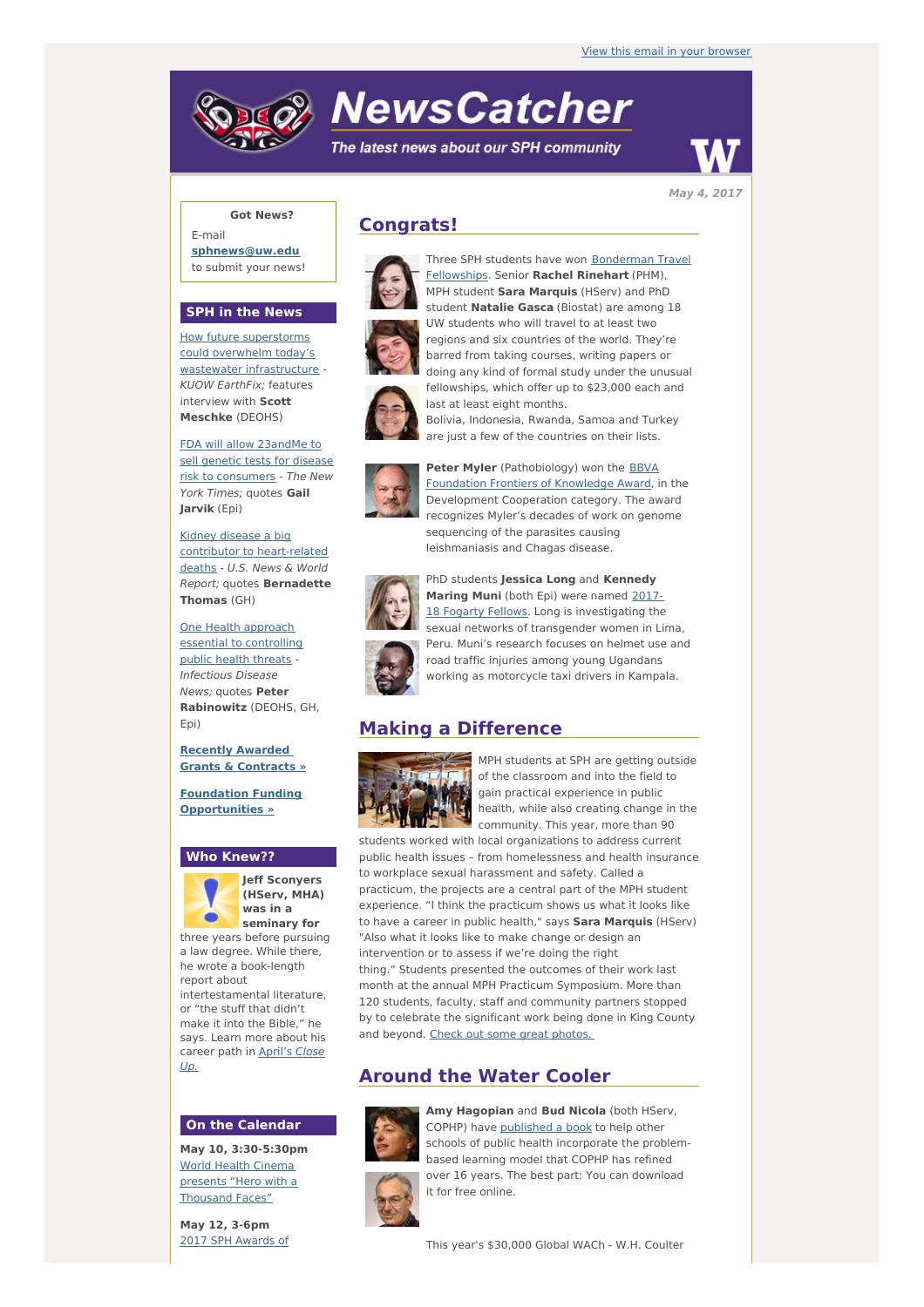# **NewsCatcher**

The latest news about our SPH community



**Got News?**

E-mail **[sphnews@uw.edu](mailto:sphnews@uw.edu)** to submit your news!

### **SPH in the News**

How future superstorms could overwhelm today's wastewater [infrastructure](http://engage.washington.edu/site/R?i=DYUSwzZgVIRsVJCw1A84ug) - KUOW EarthFix; features interview with **Scott Meschke** (DEOHS)

FDA will allow 23andMe to sell genetic tests for disease risk to [consumers](http://engage.washington.edu/site/R?i=fjy7_pzfcdNPs0F5Lvdq8w) - The New York Times; quotes **Gail Jarvik** (Epi)

Kidney disease a big contributor to [heart-related](http://engage.washington.edu/site/R?i=DMSWd6ncg-5wkXGDWY9XZw) deaths - U.S. News & World Report; quotes **Bernadette Thomas** (GH)

One Health approach essential to [controlling](http://engage.washington.edu/site/R?i=oTsw2NPmQsjwf7_D5osV3Q) public health threats - Infectious Disease News; quotes **Peter Rabinowitz** (DEOHS, GH, Epi)

**Recently [Awarded](http://engage.washington.edu/site/R?i=AkKJenepgD5wLsVi1gfhQQ) Grants & Contracts »**

**Foundation Funding [Opportunities](http://engage.washington.edu/site/R?i=jnmitKjSZFBaTVYwTJI1kg) »**

#### **Who Knew??**



Up.

**Jeff Sconyers (HServ, MHA) was in a seminary for**

three years before pursuing a law degree. While there, he wrote a book-length report about intertestamental literature, or "the stuff that didn't make it into the Bible," he says. Learn more about his [career](http://engage.washington.edu/site/R?i=IC_h2GN6BAYBCRp2sHDVXA) path in April's Close

#### **On the Calendar**

**May 10, 3:30-5:30pm** World Health Cinema presents "Hero with a [Thousand](http://engage.washington.edu/site/R?i=k1QIscZ_atsKp7q93jRbsQ) Faces"

**May 12, 3-6pm** 2017 SPH [Awards](http://engage.washington.edu/site/R?i=IKMruwAwgatmKi_FLNYL0Q) of

## **Congrats!**







**Peter Myler** [\(Pathobiology\)](http://engage.washington.edu/site/R?i=3PRO849OacwZ3DRVOazlAg) won the BBVA Foundation Frontiers of Knowledge Award, in the Development Cooperation category. The award recognizes Myler's decades of work on genome sequencing of the parasites causing leishmaniasis and Chagas disease.



PhD students **Jessica Long** and **Kennedy Maring Muni** (both Epi) were named 2017 18 Fogarty Fellows. Long is [investigating](http://engage.washington.edu/site/R?i=uBajAzfrRoxq95tJxibBbw) the sexual networks of transgender women in Lima, Peru. Muni's research focuses on helmet use and road traffic injuries among young Ugandans working as motorcycle taxi drivers in Kampala.

## **Making a Difference**



MPH students at SPH are getting outside of the classroom and into the field to gain practical experience in public health, while also creating change in the community. This year, more than 90

students worked with local organizations to address current public health issues – from homelessness and health insurance to workplace sexual harassment and safety. Called a practicum, the projects are a central part of the MPH student experience. "I think the practicum shows us what it looks like to have a career in public health," says **Sara Marquis** (HServ) "Also what it looks like to make change or design an intervention or to assess if we're doing the right thing." Students presented the outcomes of their work last month at the annual MPH Practicum Symposium. More than 120 students, faculty, staff and community partners stopped by to celebrate the significant work being done in King County and beyond. Check out some great [photos.](http://engage.washington.edu/site/R?i=1y-8SUDhQz0xtjugIhHYIw)

## **Around the Water Cooler**



**Amy Hagopian** and **Bud Nicola** (both HServ, COPHP) have [published](http://engage.washington.edu/site/R?i=6BTjfPxCc7AAaZRMrYVHZQ) a book to help other schools of public health incorporate the problembased learning model that COPHP has refined over 16 years. The best part: You can download it for free online.



Three SPH students have won [Bonderman](http://engage.washington.edu/site/R?i=ONORUWjQy2wIQFuko10Jog) Travel Fellowships. Senior **Rachel Rinehart** (PHM), MPH student **Sara Marquis** (HServ) and PhD

student **Natalie Gasca** (Biostat) are among 18 UW students who will travel to at least two regions and six countries of the world. They're barred from taking courses, writing papers or doing any kind of formal study under the unusual fellowships, which offer up to \$23,000 each and last at least eight months.

Bolivia, Indonesia, Rwanda, Samoa and Turkey are just a few of the countries on their lists.